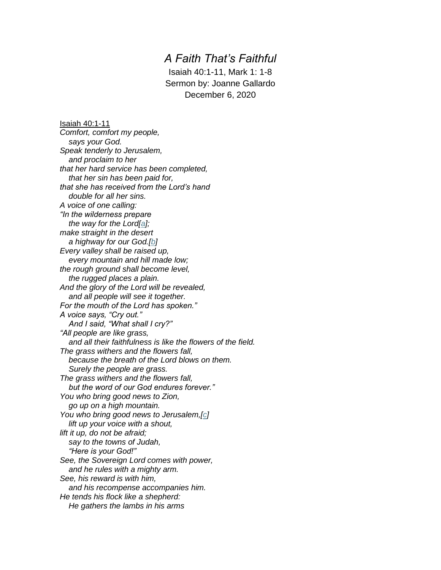## *A Faith That's Faithful*

Isaiah 40:1-11, Mark 1: 1-8 Sermon by: Joanne Gallardo December 6, 2020

Isaiah 40:1-11 *Comfort, comfort my people, says your God. Speak tenderly to Jerusalem, and proclaim to her that her hard service has been completed, that her sin has been paid for, that she has received from the Lord's hand double for all her sins. A voice of one calling: "In the wilderness prepare the way for the Lord[\[a\]](https://www.biblegateway.com/passage/?search=Isaiah%2040%3A1-11&version=NIV#fen-NIV-18424a); make straight in the desert a highway for our God.[\[b\]](https://www.biblegateway.com/passage/?search=Isaiah%2040%3A1-11&version=NIV#fen-NIV-18424b) Every valley shall be raised up, every mountain and hill made low; the rough ground shall become level, the rugged places a plain. And the glory of the Lord will be revealed, and all people will see it together. For the mouth of the Lord has spoken." A voice says, "Cry out." And I said, "What shall I cry?" "All people are like grass, and all their faithfulness is like the flowers of the field. The grass withers and the flowers fall, because the breath of the Lord blows on them. Surely the people are grass. The grass withers and the flowers fall, but the word of our God endures forever." You who bring good news to Zion, go up on a high mountain. You who bring good news to Jerusalem,[\[c\]](https://www.biblegateway.com/passage/?search=Isaiah%2040%3A1-11&version=NIV#fen-NIV-18430c) lift up your voice with a shout, lift it up, do not be afraid; say to the towns of Judah, "Here is your God!" See, the Sovereign Lord comes with power, and he rules with a mighty arm. See, his reward is with him, and his recompense accompanies him. He tends his flock like a shepherd: He gathers the lambs in his arms*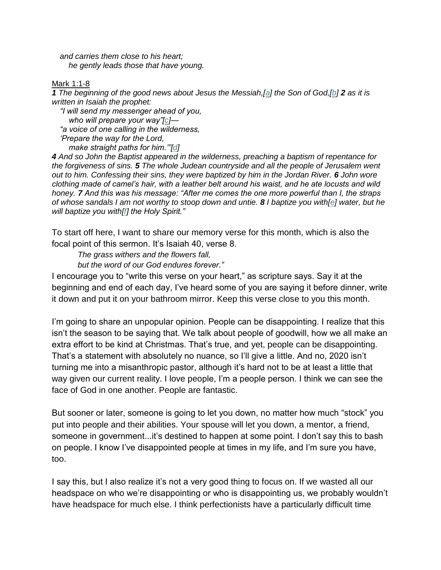*and carries them close to his heart; he gently leads those that have young.*

## Mark 1:1-8

*1 The beginning of the good news about Jesus the Messiah,[\[a\]](https://www.biblegateway.com/passage/?search=Mark%201:1-8&version=NIV#fen-NIV-24217a) the Son of God,[\[b\]](https://www.biblegateway.com/passage/?search=Mark%201:1-8&version=NIV#fen-NIV-24217b) 2 as it is written in Isaiah the prophet:*

*"I will send my messenger ahead of you, who will prepare your way"[\[c\]](https://www.biblegateway.com/passage/?search=Mark%201:1-8&version=NIV#fen-NIV-24218c)— "a voice of one calling in the wilderness, 'Prepare the way for the Lord, make straight paths for him.'"[\[d\]](https://www.biblegateway.com/passage/?search=Mark%201:1-8&version=NIV#fen-NIV-24219d)*

*4 And so John the Baptist appeared in the wilderness, preaching a baptism of repentance for the forgiveness of sins. 5 The whole Judean countryside and all the people of Jerusalem went out to him. Confessing their sins, they were baptized by him in the Jordan River. 6 John wore clothing made of camel's hair, with a leather belt around his waist, and he ate locusts and wild honey. 7 And this was his message: "After me comes the one more powerful than I, the straps of whose sandals I am not worthy to stoop down and untie. 8 I baptize you with[\[e\]](https://www.biblegateway.com/passage/?search=Mark%201:1-8&version=NIV#fen-NIV-24224e) water, but he will baptize you with[\[f\]](https://www.biblegateway.com/passage/?search=Mark%201:1-8&version=NIV#fen-NIV-24224f) the Holy Spirit."*

To start off here, I want to share our memory verse for this month, which is also the focal point of this sermon. It's Isaiah 40, verse 8.

*The grass withers and the flowers fall,*

*but the word of our God endures forever."*

I encourage you to "write this verse on your heart," as scripture says. Say it at the beginning and end of each day, I've heard some of you are saying it before dinner, write it down and put it on your bathroom mirror. Keep this verse close to you this month.

I'm going to share an unpopular opinion. People can be disappointing. I realize that this isn't the season to be saying that. We talk about people of goodwill, how we all make an extra effort to be kind at Christmas. That's true, and yet, people can be disappointing. That's a statement with absolutely no nuance, so I'll give a little. And no, 2020 isn't turning me into a misanthropic pastor, although it's hard not to be at least a little that way given our current reality. I love people, I'm a people person. I think we can see the face of God in one another. People are fantastic.

But sooner or later, someone is going to let you down, no matter how much "stock" you put into people and their abilities. Your spouse will let you down, a mentor, a friend, someone in government...it's destined to happen at some point. I don't say this to bash on people. I know I've disappointed people at times in my life, and I'm sure you have, too.

I say this, but I also realize it's not a very good thing to focus on. If we wasted all our headspace on who we're disappointing or who is disappointing us, we probably wouldn't have headspace for much else. I think perfectionists have a particularly difficult time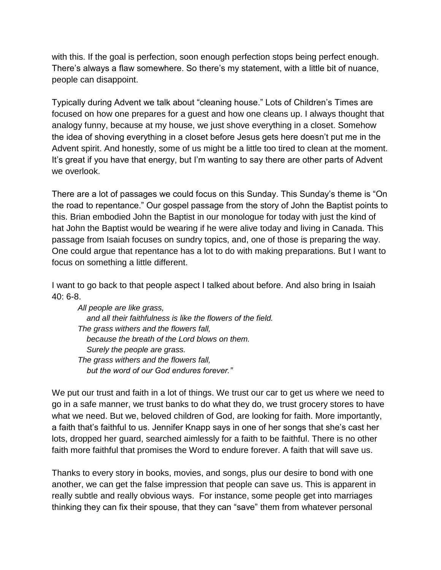with this. If the goal is perfection, soon enough perfection stops being perfect enough. There's always a flaw somewhere. So there's my statement, with a little bit of nuance, people can disappoint.

Typically during Advent we talk about "cleaning house." Lots of Children's Times are focused on how one prepares for a guest and how one cleans up. I always thought that analogy funny, because at my house, we just shove everything in a closet. Somehow the idea of shoving everything in a closet before Jesus gets here doesn't put me in the Advent spirit. And honestly, some of us might be a little too tired to clean at the moment. It's great if you have that energy, but I'm wanting to say there are other parts of Advent we overlook.

There are a lot of passages we could focus on this Sunday. This Sunday's theme is "On the road to repentance." Our gospel passage from the story of John the Baptist points to this. Brian embodied John the Baptist in our monologue for today with just the kind of hat John the Baptist would be wearing if he were alive today and living in Canada. This passage from Isaiah focuses on sundry topics, and, one of those is preparing the way. One could argue that repentance has a lot to do with making preparations. But I want to focus on something a little different.

I want to go back to that people aspect I talked about before. And also bring in Isaiah 40: 6-8.

*All people are like grass, and all their faithfulness is like the flowers of the field. The grass withers and the flowers fall, because the breath of the Lord blows on them. Surely the people are grass. The grass withers and the flowers fall, but the word of our God endures forever."*

We put our trust and faith in a lot of things. We trust our car to get us where we need to go in a safe manner, we trust banks to do what they do, we trust grocery stores to have what we need. But we, beloved children of God, are looking for faith. More importantly, a faith that's faithful to us. Jennifer Knapp says in one of her songs that she's cast her lots, dropped her guard, searched aimlessly for a faith to be faithful. There is no other faith more faithful that promises the Word to endure forever. A faith that will save us.

Thanks to every story in books, movies, and songs, plus our desire to bond with one another, we can get the false impression that people can save us. This is apparent in really subtle and really obvious ways. For instance, some people get into marriages thinking they can fix their spouse, that they can "save" them from whatever personal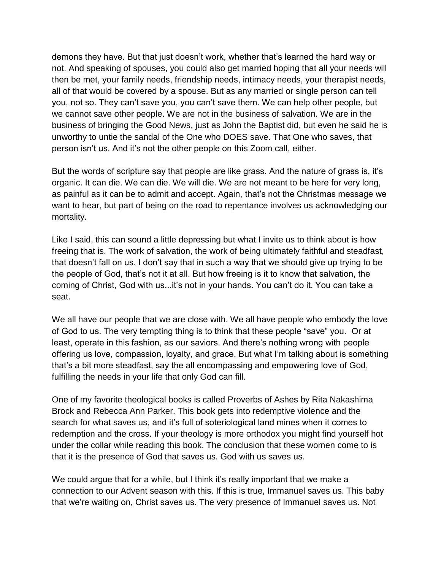demons they have. But that just doesn't work, whether that's learned the hard way or not. And speaking of spouses, you could also get married hoping that all your needs will then be met, your family needs, friendship needs, intimacy needs, your therapist needs, all of that would be covered by a spouse. But as any married or single person can tell you, not so. They can't save you, you can't save them. We can help other people, but we cannot save other people. We are not in the business of salvation. We are in the business of bringing the Good News, just as John the Baptist did, but even he said he is unworthy to untie the sandal of the One who DOES save. That One who saves, that person isn't us. And it's not the other people on this Zoom call, either.

But the words of scripture say that people are like grass. And the nature of grass is, it's organic. It can die. We can die. We will die. We are not meant to be here for very long, as painful as it can be to admit and accept. Again, that's not the Christmas message we want to hear, but part of being on the road to repentance involves us acknowledging our mortality.

Like I said, this can sound a little depressing but what I invite us to think about is how freeing that is. The work of salvation, the work of being ultimately faithful and steadfast, that doesn't fall on us. I don't say that in such a way that we should give up trying to be the people of God, that's not it at all. But how freeing is it to know that salvation, the coming of Christ, God with us...it's not in your hands. You can't do it. You can take a seat.

We all have our people that we are close with. We all have people who embody the love of God to us. The very tempting thing is to think that these people "save" you. Or at least, operate in this fashion, as our saviors. And there's nothing wrong with people offering us love, compassion, loyalty, and grace. But what I'm talking about is something that's a bit more steadfast, say the all encompassing and empowering love of God, fulfilling the needs in your life that only God can fill.

One of my favorite theological books is called Proverbs of Ashes by Rita Nakashima Brock and Rebecca Ann Parker. This book gets into redemptive violence and the search for what saves us, and it's full of soteriological land mines when it comes to redemption and the cross. If your theology is more orthodox you might find yourself hot under the collar while reading this book. The conclusion that these women come to is that it is the presence of God that saves us. God with us saves us.

We could argue that for a while, but I think it's really important that we make a connection to our Advent season with this. If this is true, Immanuel saves us. This baby that we're waiting on, Christ saves us. The very presence of Immanuel saves us. Not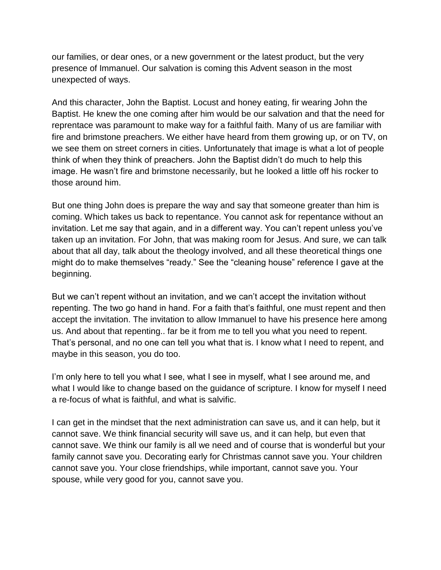our families, or dear ones, or a new government or the latest product, but the very presence of Immanuel. Our salvation is coming this Advent season in the most unexpected of ways.

And this character, John the Baptist. Locust and honey eating, fir wearing John the Baptist. He knew the one coming after him would be our salvation and that the need for reprentace was paramount to make way for a faithful faith. Many of us are familiar with fire and brimstone preachers. We either have heard from them growing up, or on TV, on we see them on street corners in cities. Unfortunately that image is what a lot of people think of when they think of preachers. John the Baptist didn't do much to help this image. He wasn't fire and brimstone necessarily, but he looked a little off his rocker to those around him.

But one thing John does is prepare the way and say that someone greater than him is coming. Which takes us back to repentance. You cannot ask for repentance without an invitation. Let me say that again, and in a different way. You can't repent unless you've taken up an invitation. For John, that was making room for Jesus. And sure, we can talk about that all day, talk about the theology involved, and all these theoretical things one might do to make themselves "ready." See the "cleaning house" reference I gave at the beginning.

But we can't repent without an invitation, and we can't accept the invitation without repenting. The two go hand in hand. For a faith that's faithful, one must repent and then accept the invitation. The invitation to allow Immanuel to have his presence here among us. And about that repenting.. far be it from me to tell you what you need to repent. That's personal, and no one can tell you what that is. I know what I need to repent, and maybe in this season, you do too.

I'm only here to tell you what I see, what I see in myself, what I see around me, and what I would like to change based on the guidance of scripture. I know for myself I need a re-focus of what is faithful, and what is salvific.

I can get in the mindset that the next administration can save us, and it can help, but it cannot save. We think financial security will save us, and it can help, but even that cannot save. We think our family is all we need and of course that is wonderful but your family cannot save you. Decorating early for Christmas cannot save you. Your children cannot save you. Your close friendships, while important, cannot save you. Your spouse, while very good for you, cannot save you.